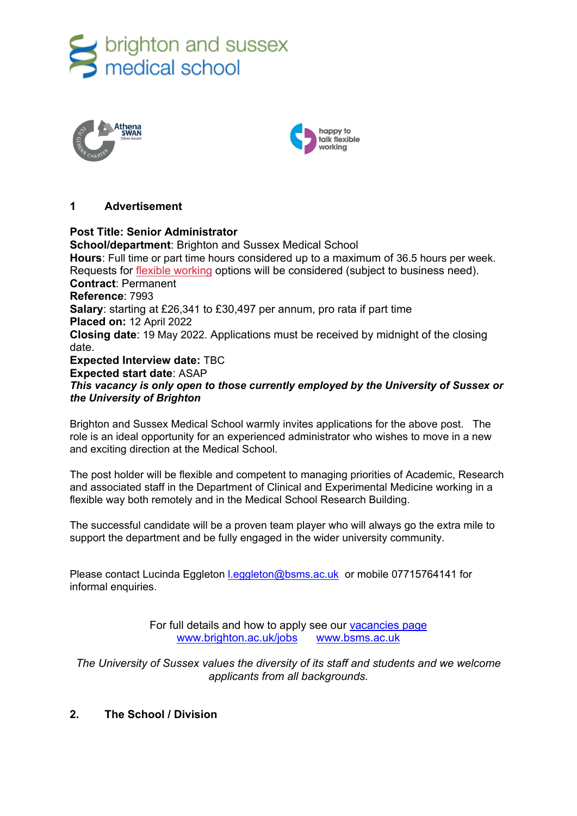





# **1 Advertisement**

**Post Title: Senior Administrator School/department: Brighton and Sussex Medical School Hours**: Full time or part time hours considered up to a maximum of 36.5 hours per week. Requests for [flexible working](http://www.sussex.ac.uk/humanresources/personnel/flexible-working) options will be considered (subject to business need). **Contract**: Permanent **Reference**: 7993 **Salary**: starting at £26,341 to £30,497 per annum, pro rata if part time **Placed on:** 12 April 2022 **Closing date**: 19 May 2022. Applications must be received by midnight of the closing date. **Expected Interview date:** TBC **Expected start date**: ASAP *This vacancy is only open to those currently employed by the University of Sussex or the University of Brighton*

Brighton and Sussex Medical School warmly invites applications for the above post. The role is an ideal opportunity for an experienced administrator who wishes to move in a new and exciting direction at the Medical School.

The post holder will be flexible and competent to managing priorities of Academic, Research and associated staff in the Department of Clinical and Experimental Medicine working in a flexible way both remotely and in the Medical School Research Building.

The successful candidate will be a proven team player who will always go the extra mile to support the department and be fully engaged in the wider university community.

Please contact Lucinda Eggleton Leggleton@bsms.ac.uk or mobile 07715764141 for informal enquiries.

> For full details and how to apply see our [vacancies page](http://www.sussex.ac.uk/about/jobs) [www.brighton.ac.uk/jobs](http://www.brighton.ac.uk/jobs) [www.bsms.ac.uk](http://www.bsms.ac.uk/)

*The University of Sussex values the diversity of its staff and students and we welcome applicants from all backgrounds.*

# **2. The School / Division**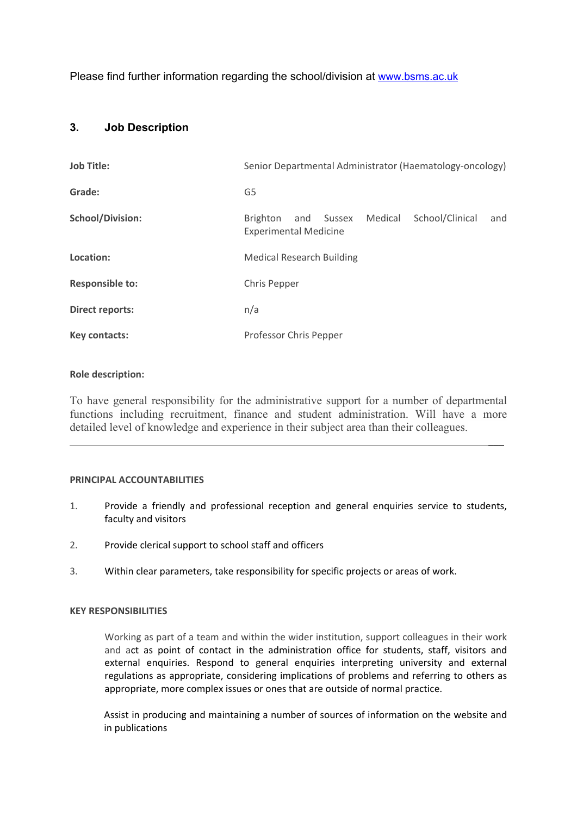Please find further information regarding the school/division at [www.bsms.ac.uk](http://www.bsms.ac.uk/)

# **3. Job Description**

| <b>Job Title:</b>       | Senior Departmental Administrator (Haematology-oncology)                                    |
|-------------------------|---------------------------------------------------------------------------------------------|
| Grade:                  | G5                                                                                          |
| <b>School/Division:</b> | School/Clinical<br>Medical<br>Brighton<br>and Sussex<br>and<br><b>Experimental Medicine</b> |
| Location:               | <b>Medical Research Building</b>                                                            |
| <b>Responsible to:</b>  | Chris Pepper                                                                                |
| <b>Direct reports:</b>  | n/a                                                                                         |
| Key contacts:           | Professor Chris Pepper                                                                      |

# **Role description:**

To have general responsibility for the administrative support for a number of departmental functions including recruitment, finance and student administration. Will have a more detailed level of knowledge and experience in their subject area than their colleagues.

 $\overline{\phantom{a}}$ 

#### **PRINCIPAL ACCOUNTABILITIES**

- 1. Provide a friendly and professional reception and general enquiries service to students, faculty and visitors
- 2. Provide clerical support to school staff and officers
- 3. Within clear parameters, take responsibility for specific projects or areas of work.

#### **KEY RESPONSIBILITIES**

Working as part of a team and within the wider institution, support colleagues in their work and act as point of contact in the administration office for students, staff, visitors and external enquiries. Respond to general enquiries interpreting university and external regulations as appropriate, considering implications of problems and referring to others as appropriate, more complex issues or ones that are outside of normal practice.

Assist in producing and maintaining a number of sources of information on the website and in publications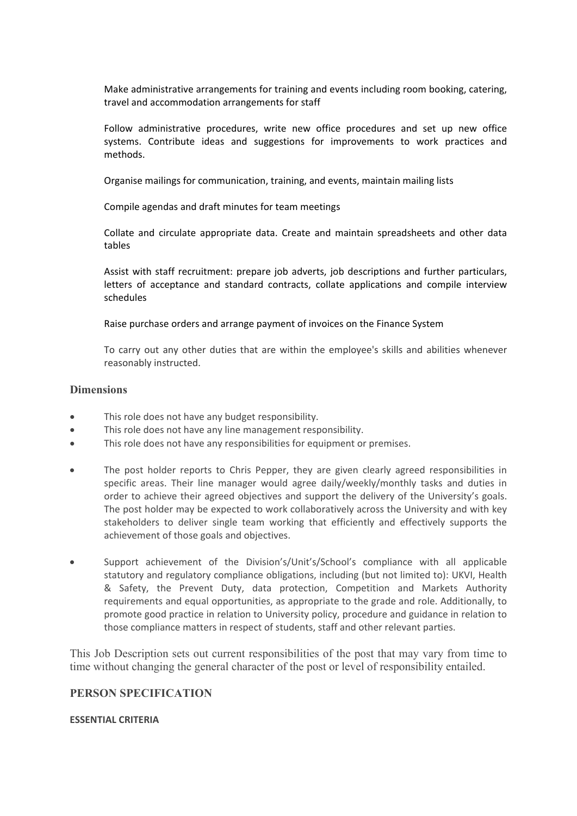Make administrative arrangements for training and events including room booking, catering, travel and accommodation arrangements for staff

Follow administrative procedures, write new office procedures and set up new office systems. Contribute ideas and suggestions for improvements to work practices and methods.

Organise mailings for communication, training, and events, maintain mailing lists

Compile agendas and draft minutes for team meetings

Collate and circulate appropriate data. Create and maintain spreadsheets and other data tables

Assist with staff recruitment: prepare job adverts, job descriptions and further particulars, letters of acceptance and standard contracts, collate applications and compile interview schedules

Raise purchase orders and arrange payment of invoices on the Finance System

To carry out any other duties that are within the employee's skills and abilities whenever reasonably instructed.

### **Dimensions**

- This role does not have any budget responsibility.
- This role does not have any line management responsibility.
- This role does not have any responsibilities for equipment or premises.
- The post holder reports to Chris Pepper, they are given clearly agreed responsibilities in specific areas. Their line manager would agree daily/weekly/monthly tasks and duties in order to achieve their agreed objectives and support the delivery of the University's goals. The post holder may be expected to work collaboratively across the University and with key stakeholders to deliver single team working that efficiently and effectively supports the achievement of those goals and objectives.
- Support achievement of the Division's/Unit's/School's compliance with all applicable statutory and regulatory compliance obligations, including (but not limited to): UKVI, Health & Safety, the Prevent Duty, data protection, Competition and Markets Authority requirements and equal opportunities, as appropriate to the grade and role. Additionally, to promote good practice in relation to University policy, procedure and guidance in relation to those compliance matters in respect of students, staff and other relevant parties.

This Job Description sets out current responsibilities of the post that may vary from time to time without changing the general character of the post or level of responsibility entailed.

# **PERSON SPECIFICATION**

#### **ESSENTIAL CRITERIA**